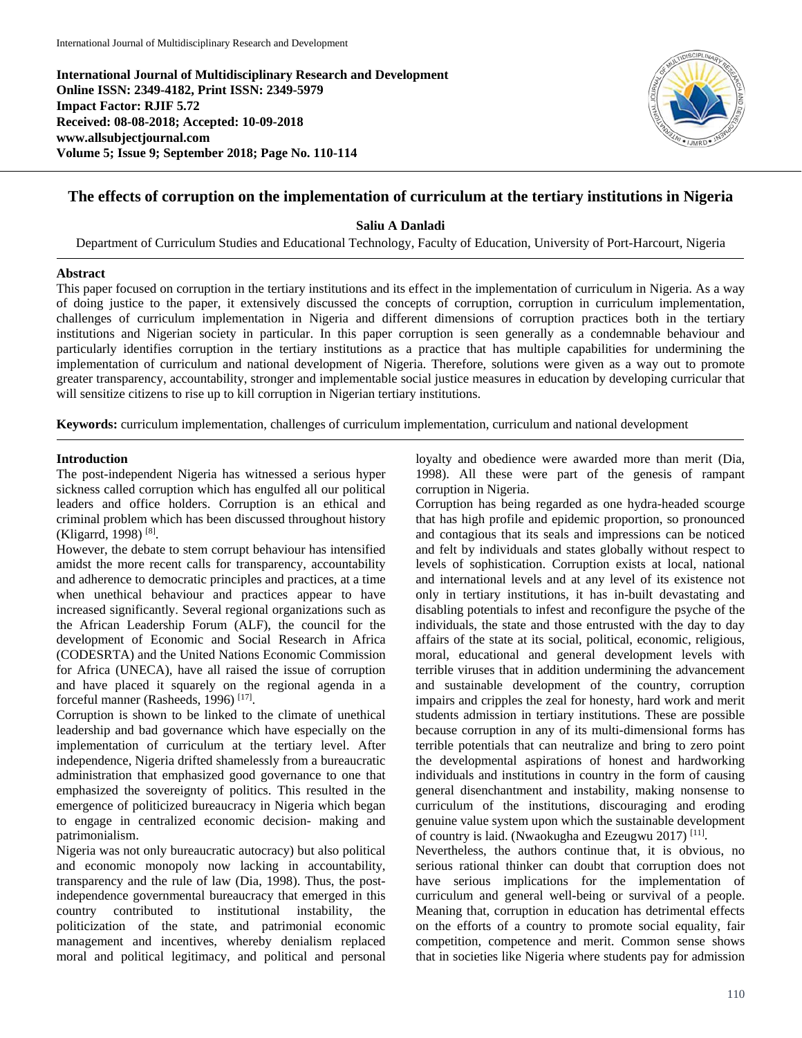**International Journal of Multidisciplinary Research and Development Online ISSN: 2349-4182, Print ISSN: 2349-5979 Impact Factor: RJIF 5.72 Received: 08-08-2018; Accepted: 10-09-2018 www.allsubjectjournal.com Volume 5; Issue 9; September 2018; Page No. 110-114**



# **The effects of corruption on the implementation of curriculum at the tertiary institutions in Nigeria**

**Saliu A Danladi**

Department of Curriculum Studies and Educational Technology, Faculty of Education, University of Port-Harcourt, Nigeria

### **Abstract**

This paper focused on corruption in the tertiary institutions and its effect in the implementation of curriculum in Nigeria. As a way of doing justice to the paper, it extensively discussed the concepts of corruption, corruption in curriculum implementation, challenges of curriculum implementation in Nigeria and different dimensions of corruption practices both in the tertiary institutions and Nigerian society in particular. In this paper corruption is seen generally as a condemnable behaviour and particularly identifies corruption in the tertiary institutions as a practice that has multiple capabilities for undermining the implementation of curriculum and national development of Nigeria. Therefore, solutions were given as a way out to promote greater transparency, accountability, stronger and implementable social justice measures in education by developing curricular that will sensitize citizens to rise up to kill corruption in Nigerian tertiary institutions.

**Keywords:** curriculum implementation, challenges of curriculum implementation, curriculum and national development

### **Introduction**

The post-independent Nigeria has witnessed a serious hyper sickness called corruption which has engulfed all our political leaders and office holders. Corruption is an ethical and criminal problem which has been discussed throughout history (Kligarrd, 1998) [8].

However, the debate to stem corrupt behaviour has intensified amidst the more recent calls for transparency, accountability and adherence to democratic principles and practices, at a time when unethical behaviour and practices appear to have increased significantly. Several regional organizations such as the African Leadership Forum (ALF), the council for the development of Economic and Social Research in Africa (CODESRTA) and the United Nations Economic Commission for Africa (UNECA), have all raised the issue of corruption and have placed it squarely on the regional agenda in a forceful manner (Rasheeds, 1996) [17].

Corruption is shown to be linked to the climate of unethical leadership and bad governance which have especially on the implementation of curriculum at the tertiary level. After independence, Nigeria drifted shamelessly from a bureaucratic administration that emphasized good governance to one that emphasized the sovereignty of politics. This resulted in the emergence of politicized bureaucracy in Nigeria which began to engage in centralized economic decision- making and patrimonialism.

Nigeria was not only bureaucratic autocracy) but also political and economic monopoly now lacking in accountability, transparency and the rule of law (Dia, 1998). Thus, the postindependence governmental bureaucracy that emerged in this country contributed to institutional instability, the politicization of the state, and patrimonial economic management and incentives, whereby denialism replaced moral and political legitimacy, and political and personal loyalty and obedience were awarded more than merit (Dia, 1998). All these were part of the genesis of rampant corruption in Nigeria.

Corruption has being regarded as one hydra-headed scourge that has high profile and epidemic proportion, so pronounced and contagious that its seals and impressions can be noticed and felt by individuals and states globally without respect to levels of sophistication. Corruption exists at local, national and international levels and at any level of its existence not only in tertiary institutions, it has in-built devastating and disabling potentials to infest and reconfigure the psyche of the individuals, the state and those entrusted with the day to day affairs of the state at its social, political, economic, religious, moral, educational and general development levels with terrible viruses that in addition undermining the advancement and sustainable development of the country, corruption impairs and cripples the zeal for honesty, hard work and merit students admission in tertiary institutions. These are possible because corruption in any of its multi-dimensional forms has terrible potentials that can neutralize and bring to zero point the developmental aspirations of honest and hardworking individuals and institutions in country in the form of causing general disenchantment and instability, making nonsense to curriculum of the institutions, discouraging and eroding genuine value system upon which the sustainable development of country is laid. (Nwaokugha and Ezeugwu 2017) [11].

Nevertheless, the authors continue that, it is obvious, no serious rational thinker can doubt that corruption does not have serious implications for the implementation of curriculum and general well-being or survival of a people. Meaning that, corruption in education has detrimental effects on the efforts of a country to promote social equality, fair competition, competence and merit. Common sense shows that in societies like Nigeria where students pay for admission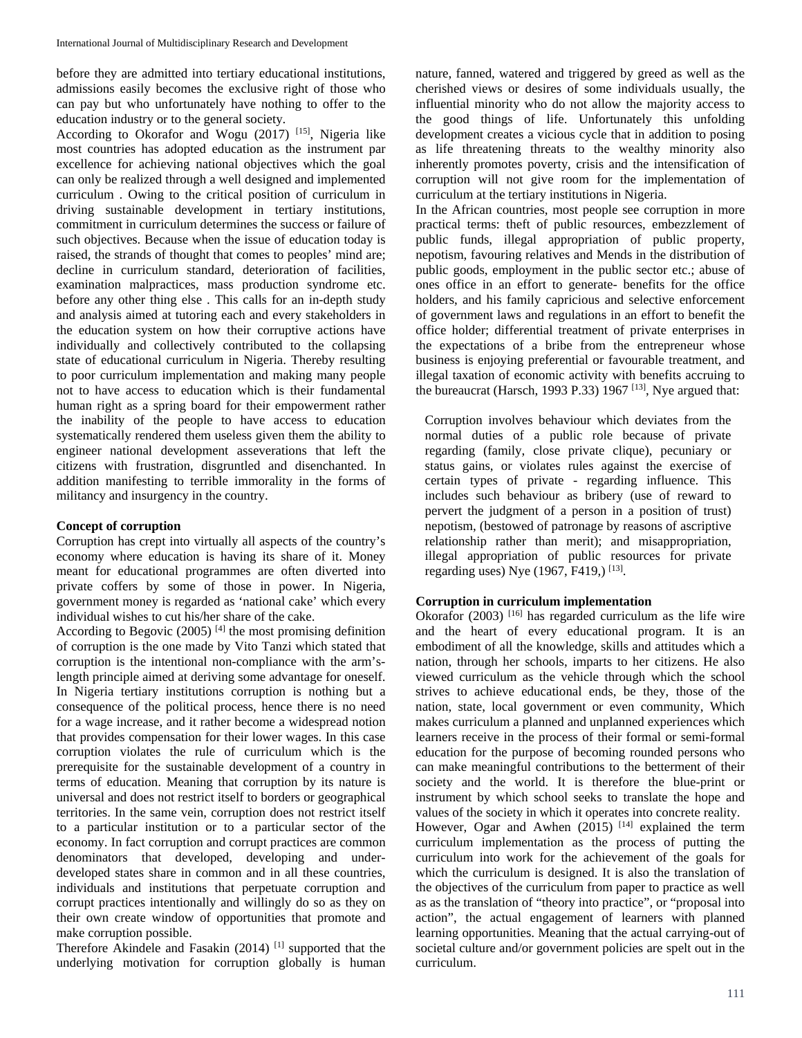before they are admitted into tertiary educational institutions, admissions easily becomes the exclusive right of those who can pay but who unfortunately have nothing to offer to the education industry or to the general society.

According to Okorafor and Wogu  $(2017)$ <sup>[15]</sup>, Nigeria like most countries has adopted education as the instrument par excellence for achieving national objectives which the goal can only be realized through a well designed and implemented curriculum . Owing to the critical position of curriculum in driving sustainable development in tertiary institutions, commitment in curriculum determines the success or failure of such objectives. Because when the issue of education today is raised, the strands of thought that comes to peoples' mind are; decline in curriculum standard, deterioration of facilities, examination malpractices, mass production syndrome etc. before any other thing else . This calls for an in-depth study and analysis aimed at tutoring each and every stakeholders in the education system on how their corruptive actions have individually and collectively contributed to the collapsing state of educational curriculum in Nigeria. Thereby resulting to poor curriculum implementation and making many people not to have access to education which is their fundamental human right as a spring board for their empowerment rather the inability of the people to have access to education systematically rendered them useless given them the ability to engineer national development asseverations that left the citizens with frustration, disgruntled and disenchanted. In addition manifesting to terrible immorality in the forms of militancy and insurgency in the country.

#### **Concept of corruption**

Corruption has crept into virtually all aspects of the country's economy where education is having its share of it. Money meant for educational programmes are often diverted into private coffers by some of those in power. In Nigeria, government money is regarded as 'national cake' which every individual wishes to cut his/her share of the cake.

According to Begovic  $(2005)$ <sup>[4]</sup> the most promising definition of corruption is the one made by Vito Tanzi which stated that corruption is the intentional non-compliance with the arm'slength principle aimed at deriving some advantage for oneself. In Nigeria tertiary institutions corruption is nothing but a consequence of the political process, hence there is no need for a wage increase, and it rather become a widespread notion that provides compensation for their lower wages. In this case corruption violates the rule of curriculum which is the prerequisite for the sustainable development of a country in terms of education. Meaning that corruption by its nature is universal and does not restrict itself to borders or geographical territories. In the same vein, corruption does not restrict itself to a particular institution or to a particular sector of the economy. In fact corruption and corrupt practices are common denominators that developed, developing and underdeveloped states share in common and in all these countries, individuals and institutions that perpetuate corruption and corrupt practices intentionally and willingly do so as they on their own create window of opportunities that promote and make corruption possible.

Therefore Akindele and Fasakin (2014)<sup>[1]</sup> supported that the underlying motivation for corruption globally is human

nature, fanned, watered and triggered by greed as well as the cherished views or desires of some individuals usually, the influential minority who do not allow the majority access to the good things of life. Unfortunately this unfolding development creates a vicious cycle that in addition to posing as life threatening threats to the wealthy minority also inherently promotes poverty, crisis and the intensification of corruption will not give room for the implementation of curriculum at the tertiary institutions in Nigeria.

In the African countries, most people see corruption in more practical terms: theft of public resources, embezzlement of public funds, illegal appropriation of public property, nepotism, favouring relatives and Mends in the distribution of public goods, employment in the public sector etc.; abuse of ones office in an effort to generate- benefits for the office holders, and his family capricious and selective enforcement of government laws and regulations in an effort to benefit the office holder; differential treatment of private enterprises in the expectations of a bribe from the entrepreneur whose business is enjoying preferential or favourable treatment, and illegal taxation of economic activity with benefits accruing to the bureaucrat (Harsch, 1993 P.33) 1967<sup>[13]</sup>, Nye argued that:

Corruption involves behaviour which deviates from the normal duties of a public role because of private regarding (family, close private clique), pecuniary or status gains, or violates rules against the exercise of certain types of private - regarding influence. This includes such behaviour as bribery (use of reward to pervert the judgment of a person in a position of trust) nepotism, (bestowed of patronage by reasons of ascriptive relationship rather than merit); and misappropriation, illegal appropriation of public resources for private regarding uses) Nye  $(1967, F419)$  [13].

#### **Corruption in curriculum implementation**

Okorafor  $(2003)$ <sup>[16]</sup> has regarded curriculum as the life wire and the heart of every educational program. It is an embodiment of all the knowledge, skills and attitudes which a nation, through her schools, imparts to her citizens. He also viewed curriculum as the vehicle through which the school strives to achieve educational ends, be they, those of the nation, state, local government or even community, Which makes curriculum a planned and unplanned experiences which learners receive in the process of their formal or semi-formal education for the purpose of becoming rounded persons who can make meaningful contributions to the betterment of their society and the world. It is therefore the blue-print or instrument by which school seeks to translate the hope and values of the society in which it operates into concrete reality.

However, Ogar and Awhen  $(2015)$  [14] explained the term curriculum implementation as the process of putting the curriculum into work for the achievement of the goals for which the curriculum is designed. It is also the translation of the objectives of the curriculum from paper to practice as well as as the translation of "theory into practice", or "proposal into action", the actual engagement of learners with planned learning opportunities. Meaning that the actual carrying-out of societal culture and/or government policies are spelt out in the curriculum.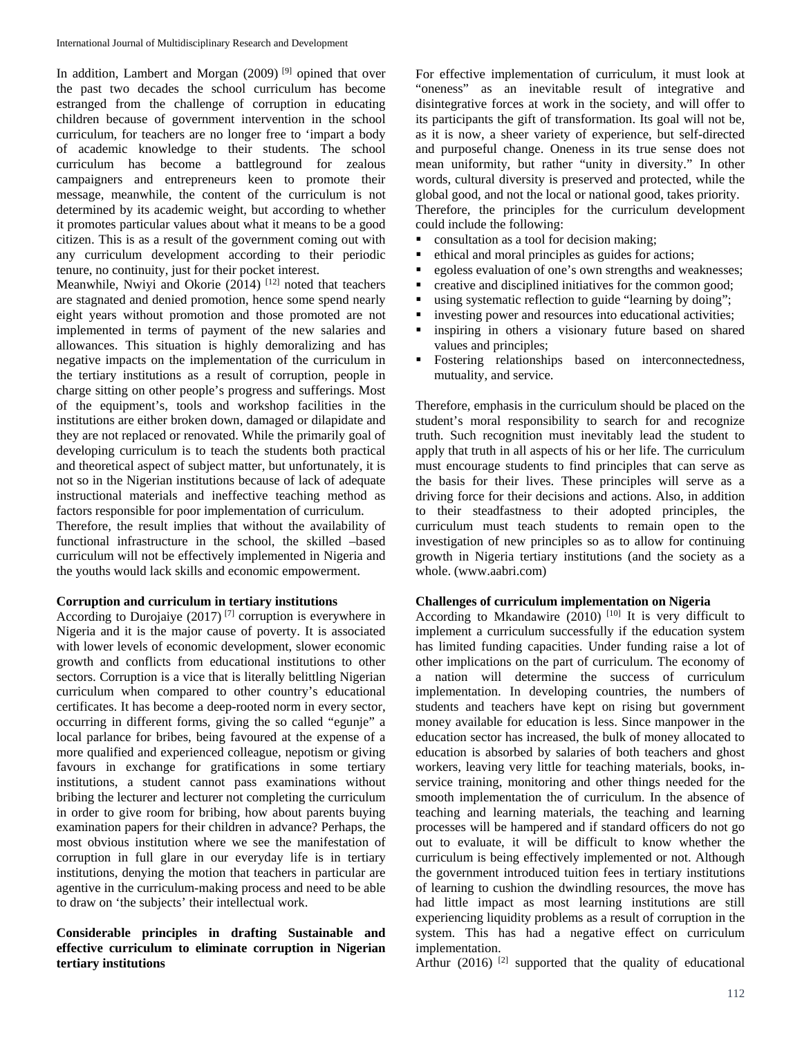In addition, Lambert and Morgan  $(2009)$ <sup>[9]</sup> opined that over the past two decades the school curriculum has become estranged from the challenge of corruption in educating children because of government intervention in the school curriculum, for teachers are no longer free to 'impart a body of academic knowledge to their students. The school curriculum has become a battleground for zealous campaigners and entrepreneurs keen to promote their message, meanwhile, the content of the curriculum is not determined by its academic weight, but according to whether it promotes particular values about what it means to be a good citizen. This is as a result of the government coming out with any curriculum development according to their periodic tenure, no continuity, just for their pocket interest.

Meanwhile, Nwiyi and Okorie  $(2014)$ <sup>[12]</sup> noted that teachers are stagnated and denied promotion, hence some spend nearly eight years without promotion and those promoted are not implemented in terms of payment of the new salaries and allowances. This situation is highly demoralizing and has negative impacts on the implementation of the curriculum in the tertiary institutions as a result of corruption, people in charge sitting on other people's progress and sufferings. Most of the equipment's, tools and workshop facilities in the institutions are either broken down, damaged or dilapidate and they are not replaced or renovated. While the primarily goal of developing curriculum is to teach the students both practical and theoretical aspect of subject matter, but unfortunately, it is not so in the Nigerian institutions because of lack of adequate instructional materials and ineffective teaching method as factors responsible for poor implementation of curriculum.

Therefore, the result implies that without the availability of functional infrastructure in the school, the skilled –based curriculum will not be effectively implemented in Nigeria and the youths would lack skills and economic empowerment.

#### **Corruption and curriculum in tertiary institutions**

According to Durojaiye  $(2017)$ <sup>[7]</sup> corruption is everywhere in Nigeria and it is the major cause of poverty. It is associated with lower levels of economic development, slower economic growth and conflicts from educational institutions to other sectors. Corruption is a vice that is literally belittling Nigerian curriculum when compared to other country's educational certificates. It has become a deep-rooted norm in every sector, occurring in different forms, giving the so called "egunje" a local parlance for bribes, being favoured at the expense of a more qualified and experienced colleague, nepotism or giving favours in exchange for gratifications in some tertiary institutions, a student cannot pass examinations without bribing the lecturer and lecturer not completing the curriculum in order to give room for bribing, how about parents buying examination papers for their children in advance? Perhaps, the most obvious institution where we see the manifestation of corruption in full glare in our everyday life is in tertiary institutions, denying the motion that teachers in particular are agentive in the curriculum-making process and need to be able to draw on 'the subjects' their intellectual work.

### **Considerable principles in drafting Sustainable and effective curriculum to eliminate corruption in Nigerian tertiary institutions**

For effective implementation of curriculum, it must look at "oneness" as an inevitable result of integrative and disintegrative forces at work in the society, and will offer to its participants the gift of transformation. Its goal will not be, as it is now, a sheer variety of experience, but self-directed and purposeful change. Oneness in its true sense does not mean uniformity, but rather "unity in diversity." In other words, cultural diversity is preserved and protected, while the global good, and not the local or national good, takes priority. Therefore, the principles for the curriculum development could include the following:

- consultation as a tool for decision making;
- ethical and moral principles as guides for actions;
- egoless evaluation of one's own strengths and weaknesses;
- creative and disciplined initiatives for the common good;
- using systematic reflection to guide "learning by doing";
- investing power and resources into educational activities;
- inspiring in others a visionary future based on shared values and principles;
- Fostering relationships based on interconnectedness, mutuality, and service.

Therefore, emphasis in the curriculum should be placed on the student's moral responsibility to search for and recognize truth. Such recognition must inevitably lead the student to apply that truth in all aspects of his or her life. The curriculum must encourage students to find principles that can serve as the basis for their lives. These principles will serve as a driving force for their decisions and actions. Also, in addition to their steadfastness to their adopted principles, the curriculum must teach students to remain open to the investigation of new principles so as to allow for continuing growth in Nigeria tertiary institutions (and the society as a whole. (www.aabri.com)

#### **Challenges of curriculum implementation on Nigeria**

According to Mkandawire (2010)  $[10]$  It is very difficult to implement a curriculum successfully if the education system has limited funding capacities. Under funding raise a lot of other implications on the part of curriculum. The economy of a nation will determine the success of curriculum implementation. In developing countries, the numbers of students and teachers have kept on rising but government money available for education is less. Since manpower in the education sector has increased, the bulk of money allocated to education is absorbed by salaries of both teachers and ghost workers, leaving very little for teaching materials, books, inservice training, monitoring and other things needed for the smooth implementation the of curriculum. In the absence of teaching and learning materials, the teaching and learning processes will be hampered and if standard officers do not go out to evaluate, it will be difficult to know whether the curriculum is being effectively implemented or not. Although the government introduced tuition fees in tertiary institutions of learning to cushion the dwindling resources, the move has had little impact as most learning institutions are still experiencing liquidity problems as a result of corruption in the system. This has had a negative effect on curriculum implementation.

Arthur  $(2016)$  <sup>[2]</sup> supported that the quality of educational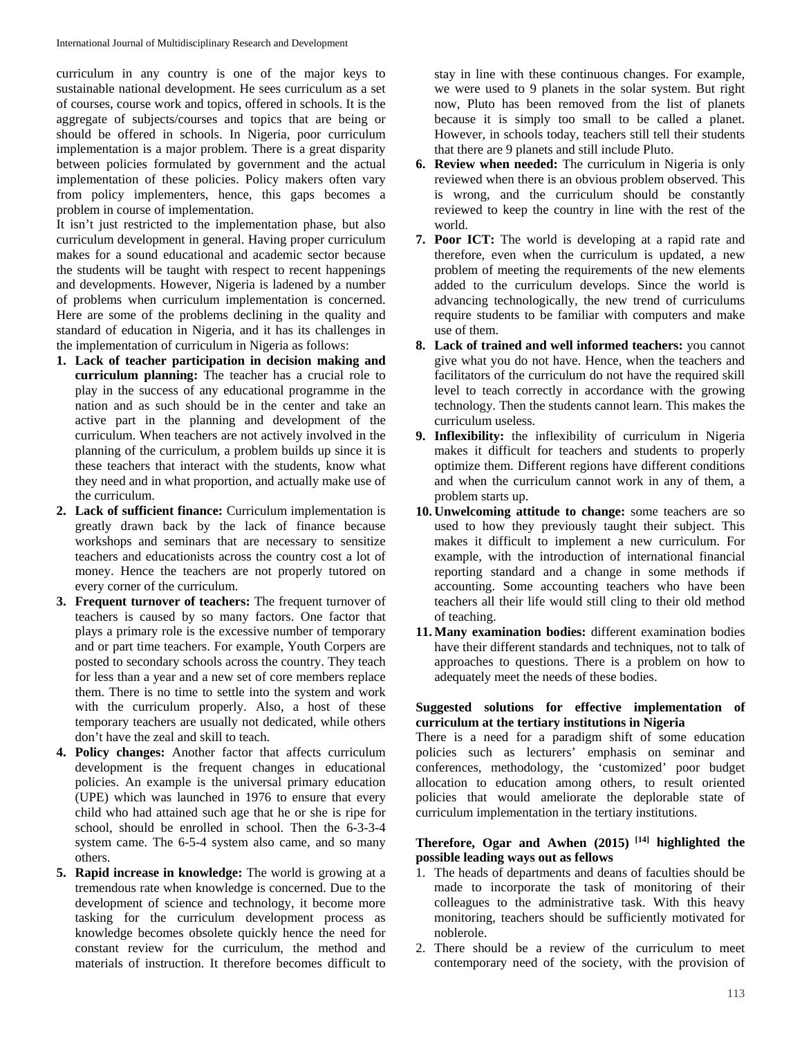curriculum in any country is one of the major keys to sustainable national development. He sees curriculum as a set of courses, course work and topics, offered in schools. It is the aggregate of subjects/courses and topics that are being or should be offered in schools. In Nigeria, poor curriculum implementation is a major problem. There is a great disparity between policies formulated by government and the actual implementation of these policies. Policy makers often vary from policy implementers, hence, this gaps becomes a problem in course of implementation.

It isn't just restricted to the implementation phase, but also curriculum development in general. Having proper curriculum makes for a sound educational and academic sector because the students will be taught with respect to recent happenings and developments. However, Nigeria is ladened by a number of problems when curriculum implementation is concerned. Here are some of the problems declining in the quality and standard of education in Nigeria, and it has its challenges in the implementation of curriculum in Nigeria as follows:

- **1. Lack of teacher participation in decision making and curriculum planning:** The teacher has a crucial role to play in the success of any educational programme in the nation and as such should be in the center and take an active part in the planning and development of the curriculum. When teachers are not actively involved in the planning of the curriculum, a problem builds up since it is these teachers that interact with the students, know what they need and in what proportion, and actually make use of the curriculum.
- **2. Lack of sufficient finance:** Curriculum implementation is greatly drawn back by the lack of finance because workshops and seminars that are necessary to sensitize teachers and educationists across the country cost a lot of money. Hence the teachers are not properly tutored on every corner of the curriculum.
- **3. Frequent turnover of teachers:** The frequent turnover of teachers is caused by so many factors. One factor that plays a primary role is the excessive number of temporary and or part time teachers. For example, Youth Corpers are posted to secondary schools across the country. They teach for less than a year and a new set of core members replace them. There is no time to settle into the system and work with the curriculum properly. Also, a host of these temporary teachers are usually not dedicated, while others don't have the zeal and skill to teach.
- **4. Policy changes:** Another factor that affects curriculum development is the frequent changes in educational policies. An example is the universal primary education (UPE) which was launched in 1976 to ensure that every child who had attained such age that he or she is ripe for school, should be enrolled in school. Then the 6-3-3-4 system came. The 6-5-4 system also came, and so many others.
- **5. Rapid increase in knowledge:** The world is growing at a tremendous rate when knowledge is concerned. Due to the development of science and technology, it become more tasking for the curriculum development process as knowledge becomes obsolete quickly hence the need for constant review for the curriculum, the method and materials of instruction. It therefore becomes difficult to

stay in line with these continuous changes. For example, we were used to 9 planets in the solar system. But right now, Pluto has been removed from the list of planets because it is simply too small to be called a planet. However, in schools today, teachers still tell their students that there are 9 planets and still include Pluto.

- **6. Review when needed:** The curriculum in Nigeria is only reviewed when there is an obvious problem observed. This is wrong, and the curriculum should be constantly reviewed to keep the country in line with the rest of the world.
- **7. Poor ICT:** The world is developing at a rapid rate and therefore, even when the curriculum is updated, a new problem of meeting the requirements of the new elements added to the curriculum develops. Since the world is advancing technologically, the new trend of curriculums require students to be familiar with computers and make use of them.
- **8. Lack of trained and well informed teachers:** you cannot give what you do not have. Hence, when the teachers and facilitators of the curriculum do not have the required skill level to teach correctly in accordance with the growing technology. Then the students cannot learn. This makes the curriculum useless.
- **9. Inflexibility:** the inflexibility of curriculum in Nigeria makes it difficult for teachers and students to properly optimize them. Different regions have different conditions and when the curriculum cannot work in any of them, a problem starts up.
- **10. Unwelcoming attitude to change:** some teachers are so used to how they previously taught their subject. This makes it difficult to implement a new curriculum. For example, with the introduction of international financial reporting standard and a change in some methods if accounting. Some accounting teachers who have been teachers all their life would still cling to their old method of teaching.
- **11. Many examination bodies:** different examination bodies have their different standards and techniques, not to talk of approaches to questions. There is a problem on how to adequately meet the needs of these bodies.

### **Suggested solutions for effective implementation of curriculum at the tertiary institutions in Nigeria**

There is a need for a paradigm shift of some education policies such as lecturers' emphasis on seminar and conferences, methodology, the 'customized' poor budget allocation to education among others, to result oriented policies that would ameliorate the deplorable state of curriculum implementation in the tertiary institutions.

## **Therefore, Ogar and Awhen (2015) [14] highlighted the possible leading ways out as fellows**

- 1. The heads of departments and deans of faculties should be made to incorporate the task of monitoring of their colleagues to the administrative task. With this heavy monitoring, teachers should be sufficiently motivated for noblerole.
- 2. There should be a review of the curriculum to meet contemporary need of the society, with the provision of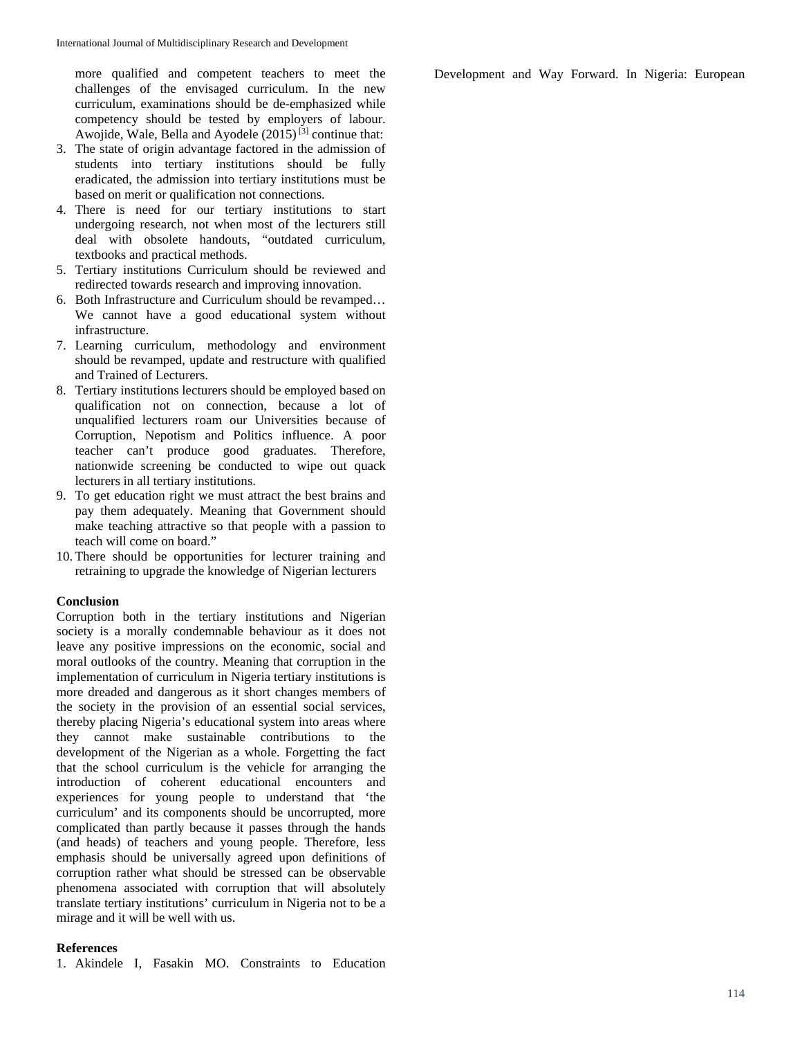more qualified and competent teachers to meet the challenges of the envisaged curriculum. In the new curriculum, examinations should be de-emphasized while competency should be tested by employers of labour. Awojide, Wale, Bella and Ayodele  $(2015)^{[3]}$  continue that:

- 3. The state of origin advantage factored in the admission of students into tertiary institutions should be fully eradicated, the admission into tertiary institutions must be based on merit or qualification not connections.
- 4. There is need for our tertiary institutions to start undergoing research, not when most of the lecturers still deal with obsolete handouts, "outdated curriculum, textbooks and practical methods.
- 5. Tertiary institutions Curriculum should be reviewed and redirected towards research and improving innovation.
- 6. Both Infrastructure and Curriculum should be revamped… We cannot have a good educational system without infrastructure.
- 7. Learning curriculum, methodology and environment should be revamped, update and restructure with qualified and Trained of Lecturers.
- 8. Tertiary institutions lecturers should be employed based on qualification not on connection, because a lot of unqualified lecturers roam our Universities because of Corruption, Nepotism and Politics influence. A poor teacher can't produce good graduates. Therefore, nationwide screening be conducted to wipe out quack lecturers in all tertiary institutions.
- 9. To get education right we must attract the best brains and pay them adequately. Meaning that Government should make teaching attractive so that people with a passion to teach will come on board."
- 10. There should be opportunities for lecturer training and retraining to upgrade the knowledge of Nigerian lecturers

#### **Conclusion**

Corruption both in the tertiary institutions and Nigerian society is a morally condemnable behaviour as it does not leave any positive impressions on the economic, social and moral outlooks of the country. Meaning that corruption in the implementation of curriculum in Nigeria tertiary institutions is more dreaded and dangerous as it short changes members of the society in the provision of an essential social services, thereby placing Nigeria's educational system into areas where they cannot make sustainable contributions to the development of the Nigerian as a whole. Forgetting the fact that the school curriculum is the vehicle for arranging the introduction of coherent educational encounters and experiences for young people to understand that 'the curriculum' and its components should be uncorrupted, more complicated than partly because it passes through the hands (and heads) of teachers and young people. Therefore, less emphasis should be universally agreed upon definitions of corruption rather what should be stressed can be observable phenomena associated with corruption that will absolutely translate tertiary institutions' curriculum in Nigeria not to be a mirage and it will be well with us.

#### **References**

1. Akindele I, Fasakin MO. Constraints to Education

Development and Way Forward. In Nigeria: European